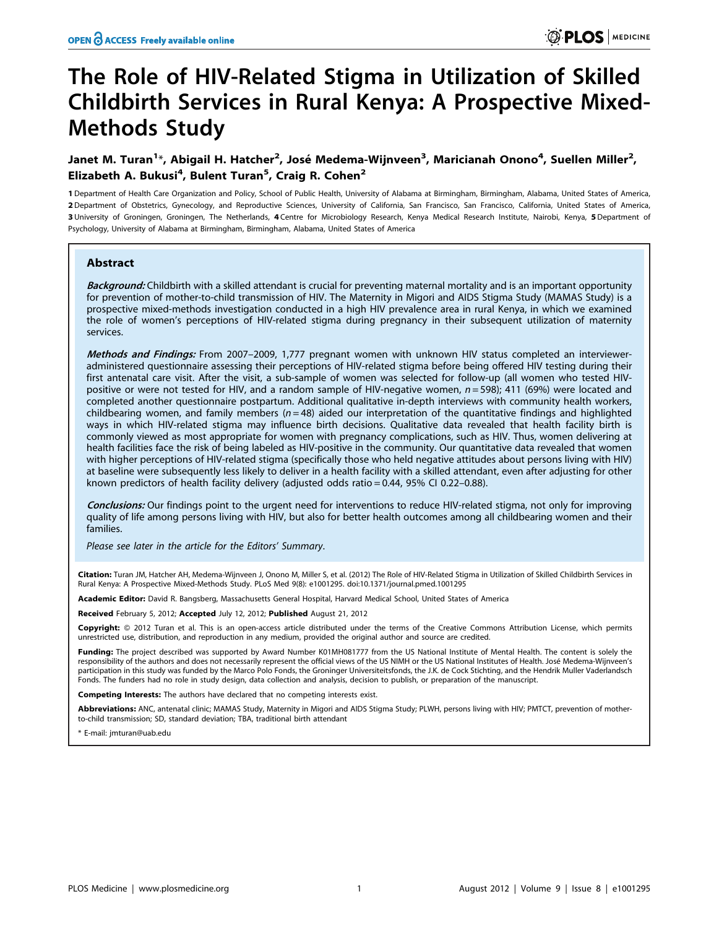# The Role of HIV-Related Stigma in Utilization of Skilled Childbirth Services in Rural Kenya: A Prospective Mixed-Methods Study

## Janet M. Turan<sup>1</sup>\*, Abigail H. Hatcher<sup>2</sup>, José Medema-Wijnveen<sup>3</sup>, Maricianah Onono<sup>4</sup>, Suellen Miller<sup>2</sup>, Elizabeth A. Bukusi<sup>4</sup>, Bulent Turan<sup>5</sup>, Craig R. Cohen<sup>2</sup>

1 Department of Health Care Organization and Policy, School of Public Health, University of Alabama at Birmingham, Birmingham, Alabama, United States of America, 2 Department of Obstetrics, Gynecology, and Reproductive Sciences, University of California, San Francisco, San Francisco, California, United States of America, 3 University of Groningen, Groningen, The Netherlands, 4 Centre for Microbiology Research, Kenya Medical Research Institute, Nairobi, Kenya, 5 Department of Psychology, University of Alabama at Birmingham, Birmingham, Alabama, United States of America

## Abstract

Background: Childbirth with a skilled attendant is crucial for preventing maternal mortality and is an important opportunity for prevention of mother-to-child transmission of HIV. The Maternity in Migori and AIDS Stigma Study (MAMAS Study) is a prospective mixed-methods investigation conducted in a high HIV prevalence area in rural Kenya, in which we examined the role of women's perceptions of HIV-related stigma during pregnancy in their subsequent utilization of maternity services.

Methods and Findings: From 2007–2009, 1,777 pregnant women with unknown HIV status completed an intervieweradministered questionnaire assessing their perceptions of HIV-related stigma before being offered HIV testing during their first antenatal care visit. After the visit, a sub-sample of women was selected for follow-up (all women who tested HIVpositive or were not tested for HIV, and a random sample of HIV-negative women,  $n = 598$ ); 411 (69%) were located and completed another questionnaire postpartum. Additional qualitative in-depth interviews with community health workers, childbearing women, and family members ( $n = 48$ ) aided our interpretation of the quantitative findings and highlighted ways in which HIV-related stigma may influence birth decisions. Qualitative data revealed that health facility birth is commonly viewed as most appropriate for women with pregnancy complications, such as HIV. Thus, women delivering at health facilities face the risk of being labeled as HIV-positive in the community. Our quantitative data revealed that women with higher perceptions of HIV-related stigma (specifically those who held negative attitudes about persons living with HIV) at baseline were subsequently less likely to deliver in a health facility with a skilled attendant, even after adjusting for other known predictors of health facility delivery (adjusted odds ratio = 0.44, 95% CI 0.22–0.88).

Conclusions: Our findings point to the urgent need for interventions to reduce HIV-related stigma, not only for improving quality of life among persons living with HIV, but also for better health outcomes among all childbearing women and their families.

Please see later in the article for the Editors' Summary.

Citation: Turan JM, Hatcher AH, Medema-Wijnveen J, Onono M, Miller S, et al. (2012) The Role of HIV-Related Stigma in Utilization of Skilled Childbirth Services in Rural Kenya: A Prospective Mixed-Methods Study. PLoS Med 9(8): e1001295. doi:10.1371/journal.pmed.1001295

Academic Editor: David R. Bangsberg, Massachusetts General Hospital, Harvard Medical School, United States of America

Received February 5, 2012; Accepted July 12, 2012; Published August 21, 2012

Copyright: © 2012 Turan et al. This is an open-access article distributed under the terms of the Creative Commons Attribution License, which permits unrestricted use, distribution, and reproduction in any medium, provided the original author and source are credited.

Funding: The project described was supported by Award Number K01MH081777 from the US National Institute of Mental Health. The content is solely the responsibility of the authors and does not necessarily represent the official views of the US NIMH or the US National Institutes of Health. José Medema-Wijnveen's participation in this study was funded by the Marco Polo Fonds, the Groninger Universiteitsfonds, the J.K. de Cock Stichting, and the Hendrik Muller Vaderlandsch Fonds. The funders had no role in study design, data collection and analysis, decision to publish, or preparation of the manuscript.

Competing Interests: The authors have declared that no competing interests exist.

Abbreviations: ANC, antenatal clinic; MAMAS Study, Maternity in Migori and AIDS Stigma Study; PLWH, persons living with HIV; PMTCT, prevention of motherto-child transmission; SD, standard deviation; TBA, traditional birth attendant

\* E-mail: jmturan@uab.edu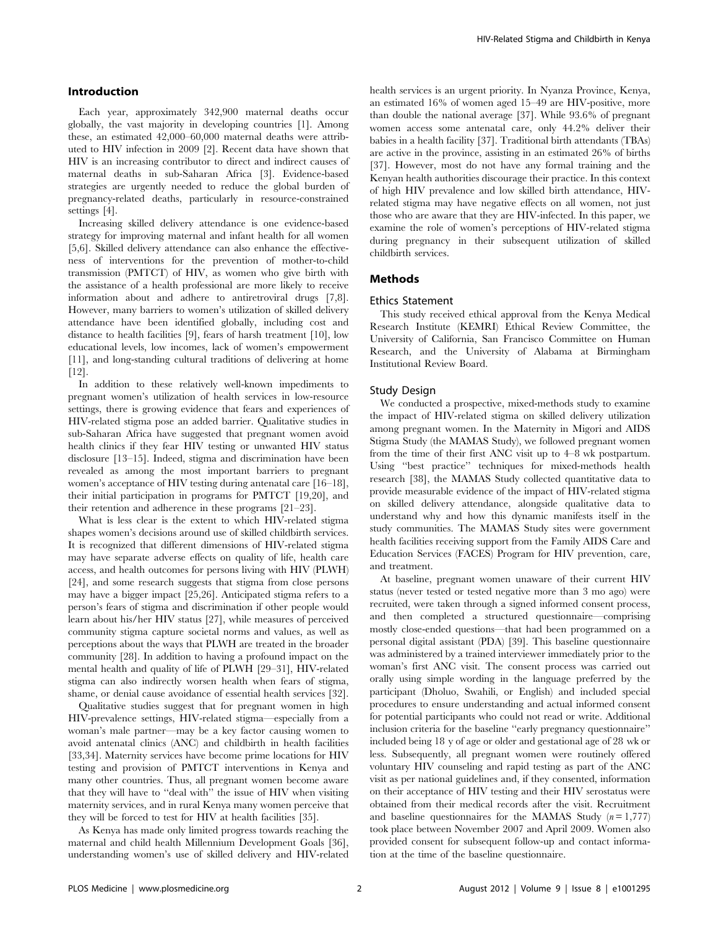#### Introduction

Each year, approximately 342,900 maternal deaths occur globally, the vast majority in developing countries [1]. Among these, an estimated 42,000–60,000 maternal deaths were attributed to HIV infection in 2009 [2]. Recent data have shown that HIV is an increasing contributor to direct and indirect causes of maternal deaths in sub-Saharan Africa [3]. Evidence-based strategies are urgently needed to reduce the global burden of pregnancy-related deaths, particularly in resource-constrained settings [4].

Increasing skilled delivery attendance is one evidence-based strategy for improving maternal and infant health for all women [5,6]. Skilled delivery attendance can also enhance the effectiveness of interventions for the prevention of mother-to-child transmission (PMTCT) of HIV, as women who give birth with the assistance of a health professional are more likely to receive information about and adhere to antiretroviral drugs [7,8]. However, many barriers to women's utilization of skilled delivery attendance have been identified globally, including cost and distance to health facilities [9], fears of harsh treatment [10], low educational levels, low incomes, lack of women's empowerment [11], and long-standing cultural traditions of delivering at home [12].

In addition to these relatively well-known impediments to pregnant women's utilization of health services in low-resource settings, there is growing evidence that fears and experiences of HIV-related stigma pose an added barrier. Qualitative studies in sub-Saharan Africa have suggested that pregnant women avoid health clinics if they fear HIV testing or unwanted HIV status disclosure [13–15]. Indeed, stigma and discrimination have been revealed as among the most important barriers to pregnant women's acceptance of HIV testing during antenatal care [16–18], their initial participation in programs for PMTCT [19,20], and their retention and adherence in these programs [21–23].

What is less clear is the extent to which HIV-related stigma shapes women's decisions around use of skilled childbirth services. It is recognized that different dimensions of HIV-related stigma may have separate adverse effects on quality of life, health care access, and health outcomes for persons living with HIV (PLWH) [24], and some research suggests that stigma from close persons may have a bigger impact [25,26]. Anticipated stigma refers to a person's fears of stigma and discrimination if other people would learn about his/her HIV status [27], while measures of perceived community stigma capture societal norms and values, as well as perceptions about the ways that PLWH are treated in the broader community [28]. In addition to having a profound impact on the mental health and quality of life of PLWH [29–31], HIV-related stigma can also indirectly worsen health when fears of stigma, shame, or denial cause avoidance of essential health services [32].

Qualitative studies suggest that for pregnant women in high HIV-prevalence settings, HIV-related stigma—especially from a woman's male partner—may be a key factor causing women to avoid antenatal clinics (ANC) and childbirth in health facilities [33,34]. Maternity services have become prime locations for HIV testing and provision of PMTCT interventions in Kenya and many other countries. Thus, all pregnant women become aware that they will have to ''deal with'' the issue of HIV when visiting maternity services, and in rural Kenya many women perceive that they will be forced to test for HIV at health facilities [35].

As Kenya has made only limited progress towards reaching the maternal and child health Millennium Development Goals [36], understanding women's use of skilled delivery and HIV-related health services is an urgent priority. In Nyanza Province, Kenya, an estimated 16% of women aged 15–49 are HIV-positive, more than double the national average [37]. While 93.6% of pregnant women access some antenatal care, only 44.2% deliver their babies in a health facility [37]. Traditional birth attendants (TBAs) are active in the province, assisting in an estimated 26% of births [37]. However, most do not have any formal training and the Kenyan health authorities discourage their practice. In this context of high HIV prevalence and low skilled birth attendance, HIVrelated stigma may have negative effects on all women, not just those who are aware that they are HIV-infected. In this paper, we examine the role of women's perceptions of HIV-related stigma during pregnancy in their subsequent utilization of skilled childbirth services.

## Methods

## Ethics Statement

This study received ethical approval from the Kenya Medical Research Institute (KEMRI) Ethical Review Committee, the University of California, San Francisco Committee on Human Research, and the University of Alabama at Birmingham Institutional Review Board.

## Study Design

We conducted a prospective, mixed-methods study to examine the impact of HIV-related stigma on skilled delivery utilization among pregnant women. In the Maternity in Migori and AIDS Stigma Study (the MAMAS Study), we followed pregnant women from the time of their first ANC visit up to 4–8 wk postpartum. Using ''best practice'' techniques for mixed-methods health research [38], the MAMAS Study collected quantitative data to provide measurable evidence of the impact of HIV-related stigma on skilled delivery attendance, alongside qualitative data to understand why and how this dynamic manifests itself in the study communities. The MAMAS Study sites were government health facilities receiving support from the Family AIDS Care and Education Services (FACES) Program for HIV prevention, care, and treatment.

At baseline, pregnant women unaware of their current HIV status (never tested or tested negative more than 3 mo ago) were recruited, were taken through a signed informed consent process, and then completed a structured questionnaire—comprising mostly close-ended questions—that had been programmed on a personal digital assistant (PDA) [39]. This baseline questionnaire was administered by a trained interviewer immediately prior to the woman's first ANC visit. The consent process was carried out orally using simple wording in the language preferred by the participant (Dholuo, Swahili, or English) and included special procedures to ensure understanding and actual informed consent for potential participants who could not read or write. Additional inclusion criteria for the baseline ''early pregnancy questionnaire'' included being 18 y of age or older and gestational age of 28 wk or less. Subsequently, all pregnant women were routinely offered voluntary HIV counseling and rapid testing as part of the ANC visit as per national guidelines and, if they consented, information on their acceptance of HIV testing and their HIV serostatus were obtained from their medical records after the visit. Recruitment and baseline questionnaires for the MAMAS Study  $(n=1,777)$ took place between November 2007 and April 2009. Women also provided consent for subsequent follow-up and contact information at the time of the baseline questionnaire.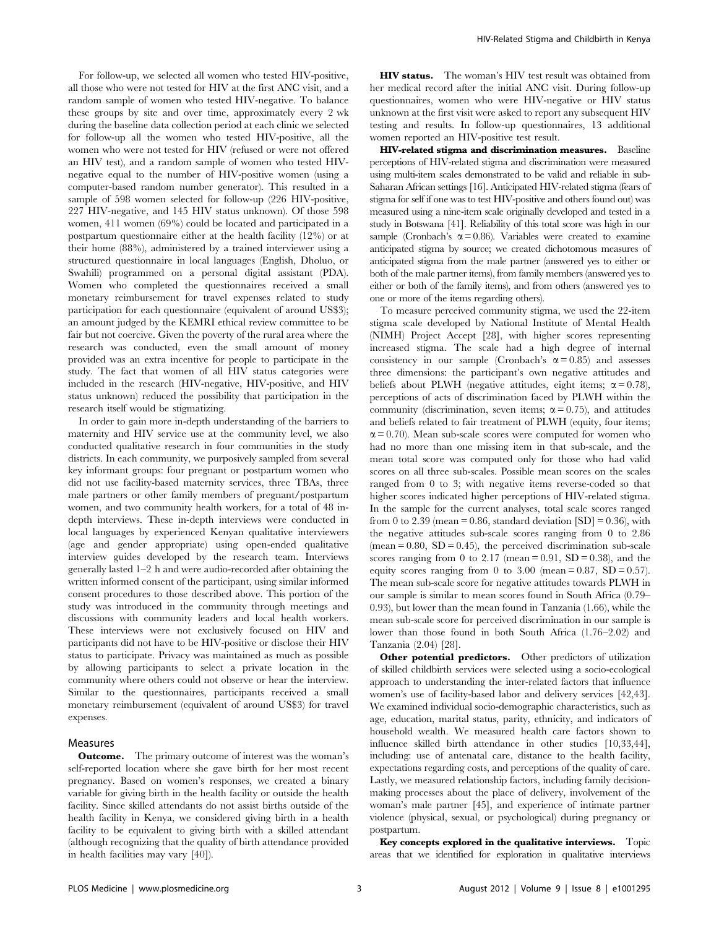For follow-up, we selected all women who tested HIV-positive, all those who were not tested for HIV at the first ANC visit, and a random sample of women who tested HIV-negative. To balance these groups by site and over time, approximately every 2 wk during the baseline data collection period at each clinic we selected for follow-up all the women who tested HIV-positive, all the women who were not tested for HIV (refused or were not offered an HIV test), and a random sample of women who tested HIVnegative equal to the number of HIV-positive women (using a computer-based random number generator). This resulted in a sample of 598 women selected for follow-up (226 HIV-positive, 227 HIV-negative, and 145 HIV status unknown). Of those 598 women, 411 women (69%) could be located and participated in a postpartum questionnaire either at the health facility (12%) or at their home (88%), administered by a trained interviewer using a structured questionnaire in local languages (English, Dholuo, or Swahili) programmed on a personal digital assistant (PDA). Women who completed the questionnaires received a small monetary reimbursement for travel expenses related to study participation for each questionnaire (equivalent of around US\$3); an amount judged by the KEMRI ethical review committee to be fair but not coercive. Given the poverty of the rural area where the research was conducted, even the small amount of money provided was an extra incentive for people to participate in the study. The fact that women of all HIV status categories were included in the research (HIV-negative, HIV-positive, and HIV status unknown) reduced the possibility that participation in the research itself would be stigmatizing.

In order to gain more in-depth understanding of the barriers to maternity and HIV service use at the community level, we also conducted qualitative research in four communities in the study districts. In each community, we purposively sampled from several key informant groups: four pregnant or postpartum women who did not use facility-based maternity services, three TBAs, three male partners or other family members of pregnant/postpartum women, and two community health workers, for a total of 48 indepth interviews. These in-depth interviews were conducted in local languages by experienced Kenyan qualitative interviewers (age and gender appropriate) using open-ended qualitative interview guides developed by the research team. Interviews generally lasted 1–2 h and were audio-recorded after obtaining the written informed consent of the participant, using similar informed consent procedures to those described above. This portion of the study was introduced in the community through meetings and discussions with community leaders and local health workers. These interviews were not exclusively focused on HIV and participants did not have to be HIV-positive or disclose their HIV status to participate. Privacy was maintained as much as possible by allowing participants to select a private location in the community where others could not observe or hear the interview. Similar to the questionnaires, participants received a small monetary reimbursement (equivalent of around US\$3) for travel expenses.

### Measures

**Outcome.** The primary outcome of interest was the woman's self-reported location where she gave birth for her most recent pregnancy. Based on women's responses, we created a binary variable for giving birth in the health facility or outside the health facility. Since skilled attendants do not assist births outside of the health facility in Kenya, we considered giving birth in a health facility to be equivalent to giving birth with a skilled attendant (although recognizing that the quality of birth attendance provided in health facilities may vary [40]).

HIV status. The woman's HIV test result was obtained from her medical record after the initial ANC visit. During follow-up questionnaires, women who were HIV-negative or HIV status unknown at the first visit were asked to report any subsequent HIV testing and results. In follow-up questionnaires, 13 additional women reported an HIV-positive test result.

HIV-related stigma and discrimination measures. Baseline perceptions of HIV-related stigma and discrimination were measured using multi-item scales demonstrated to be valid and reliable in sub-Saharan African settings [16]. Anticipated HIV-related stigma (fears of stigma for self if one was to test HIV-positive and others found out) was measured using a nine-item scale originally developed and tested in a study in Botswana [41]. Reliability of this total score was high in our sample (Cronbach's  $\alpha$  = 0.86). Variables were created to examine anticipated stigma by source; we created dichotomous measures of anticipated stigma from the male partner (answered yes to either or both of the male partner items), from family members (answered yes to either or both of the family items), and from others (answered yes to one or more of the items regarding others).

To measure perceived community stigma, we used the 22-item stigma scale developed by National Institute of Mental Health (NIMH) Project Accept [28], with higher scores representing increased stigma. The scale had a high degree of internal consistency in our sample (Cronbach's  $\alpha = 0.85$ ) and assesses three dimensions: the participant's own negative attitudes and beliefs about PLWH (negative attitudes, eight items;  $\alpha = 0.78$ ), perceptions of acts of discrimination faced by PLWH within the community (discrimination, seven items;  $\alpha = 0.75$ ), and attitudes and beliefs related to fair treatment of PLWH (equity, four items;  $\alpha$  = 0.70). Mean sub-scale scores were computed for women who had no more than one missing item in that sub-scale, and the mean total score was computed only for those who had valid scores on all three sub-scales. Possible mean scores on the scales ranged from 0 to 3; with negative items reverse-coded so that higher scores indicated higher perceptions of HIV-related stigma. In the sample for the current analyses, total scale scores ranged from 0 to 2.39 (mean  $= 0.86$ , standard deviation  $[SD] = 0.36$ ), with the negative attitudes sub-scale scores ranging from 0 to 2.86  $(mean = 0.80, SD = 0.45)$ , the perceived discrimination sub-scale scores ranging from 0 to 2.17 (mean =  $0.91$ , SD =  $0.38$ ), and the equity scores ranging from 0 to 3.00 (mean =  $0.87$ , SD =  $0.57$ ). The mean sub-scale score for negative attitudes towards PLWH in our sample is similar to mean scores found in South Africa (0.79– 0.93), but lower than the mean found in Tanzania (1.66), while the mean sub-scale score for perceived discrimination in our sample is lower than those found in both South Africa (1.76–2.02) and Tanzania (2.04) [28].

Other potential predictors. Other predictors of utilization of skilled childbirth services were selected using a socio-ecological approach to understanding the inter-related factors that influence women's use of facility-based labor and delivery services [42,43]. We examined individual socio-demographic characteristics, such as age, education, marital status, parity, ethnicity, and indicators of household wealth. We measured health care factors shown to influence skilled birth attendance in other studies [10,33,44], including: use of antenatal care, distance to the health facility, expectations regarding costs, and perceptions of the quality of care. Lastly, we measured relationship factors, including family decisionmaking processes about the place of delivery, involvement of the woman's male partner [45], and experience of intimate partner violence (physical, sexual, or psychological) during pregnancy or postpartum.

Key concepts explored in the qualitative interviews. Topic areas that we identified for exploration in qualitative interviews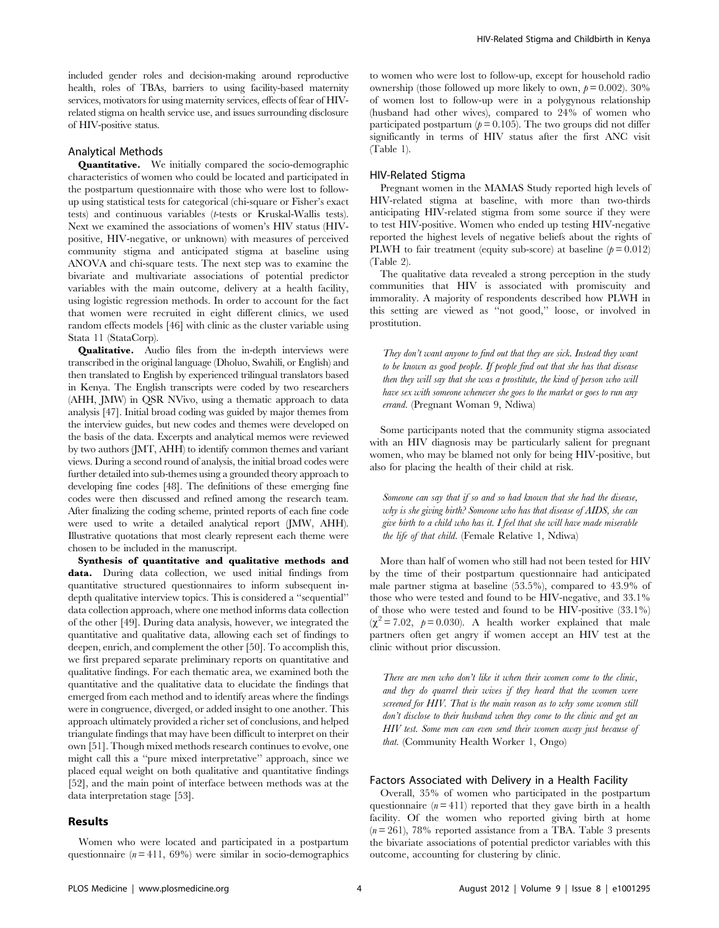included gender roles and decision-making around reproductive health, roles of TBAs, barriers to using facility-based maternity services, motivators for using maternity services, effects of fear of HIVrelated stigma on health service use, and issues surrounding disclosure of HIV-positive status.

## Analytical Methods

Quantitative. We initially compared the socio-demographic characteristics of women who could be located and participated in the postpartum questionnaire with those who were lost to followup using statistical tests for categorical (chi-square or Fisher's exact tests) and continuous variables (t-tests or Kruskal-Wallis tests). Next we examined the associations of women's HIV status (HIVpositive, HIV-negative, or unknown) with measures of perceived community stigma and anticipated stigma at baseline using ANOVA and chi-square tests. The next step was to examine the bivariate and multivariate associations of potential predictor variables with the main outcome, delivery at a health facility, using logistic regression methods. In order to account for the fact that women were recruited in eight different clinics, we used random effects models [46] with clinic as the cluster variable using Stata 11 (StataCorp).

Qualitative. Audio files from the in-depth interviews were transcribed in the original language (Dholuo, Swahili, or English) and then translated to English by experienced trilingual translators based in Kenya. The English transcripts were coded by two researchers (AHH, JMW) in QSR NVivo, using a thematic approach to data analysis [47]. Initial broad coding was guided by major themes from the interview guides, but new codes and themes were developed on the basis of the data. Excerpts and analytical memos were reviewed by two authors (JMT, AHH) to identify common themes and variant views. During a second round of analysis, the initial broad codes were further detailed into sub-themes using a grounded theory approach to developing fine codes [48]. The definitions of these emerging fine codes were then discussed and refined among the research team. After finalizing the coding scheme, printed reports of each fine code were used to write a detailed analytical report (JMW, AHH). Illustrative quotations that most clearly represent each theme were chosen to be included in the manuscript.

Synthesis of quantitative and qualitative methods and data. During data collection, we used initial findings from quantitative structured questionnaires to inform subsequent indepth qualitative interview topics. This is considered a ''sequential'' data collection approach, where one method informs data collection of the other [49]. During data analysis, however, we integrated the quantitative and qualitative data, allowing each set of findings to deepen, enrich, and complement the other [50]. To accomplish this, we first prepared separate preliminary reports on quantitative and qualitative findings. For each thematic area, we examined both the quantitative and the qualitative data to elucidate the findings that emerged from each method and to identify areas where the findings were in congruence, diverged, or added insight to one another. This approach ultimately provided a richer set of conclusions, and helped triangulate findings that may have been difficult to interpret on their own [51]. Though mixed methods research continues to evolve, one might call this a ''pure mixed interpretative'' approach, since we placed equal weight on both qualitative and quantitative findings [52], and the main point of interface between methods was at the data interpretation stage [53].

### Results

to women who were lost to follow-up, except for household radio ownership (those followed up more likely to own,  $p = 0.002$ ). 30% of women lost to follow-up were in a polygynous relationship (husband had other wives), compared to 24% of women who participated postpartum  $(p= 0.105)$ . The two groups did not differ significantly in terms of HIV status after the first ANC visit (Table 1).

#### HIV-Related Stigma

Pregnant women in the MAMAS Study reported high levels of HIV-related stigma at baseline, with more than two-thirds anticipating HIV-related stigma from some source if they were to test HIV-positive. Women who ended up testing HIV-negative reported the highest levels of negative beliefs about the rights of PLWH to fair treatment (equity sub-score) at baseline  $(p=0.012)$ (Table 2).

The qualitative data revealed a strong perception in the study communities that HIV is associated with promiscuity and immorality. A majority of respondents described how PLWH in this setting are viewed as ''not good,'' loose, or involved in prostitution.

They don't want anyone to find out that they are sick. Instead they want to be known as good people. If people find out that she has that disease then they will say that she was a prostitute, the kind of person who will have sex with someone whenever she goes to the market or goes to run any errand. (Pregnant Woman 9, Ndiwa)

Some participants noted that the community stigma associated with an HIV diagnosis may be particularly salient for pregnant women, who may be blamed not only for being HIV-positive, but also for placing the health of their child at risk.

Someone can say that if so and so had known that she had the disease, why is she giving birth? Someone who has that disease of AIDS, she can give birth to a child who has it. I feel that she will have made miserable the life of that child. (Female Relative 1, Ndiwa)

More than half of women who still had not been tested for HIV by the time of their postpartum questionnaire had anticipated male partner stigma at baseline (53.5%), compared to 43.9% of those who were tested and found to be HIV-negative, and 33.1% of those who were tested and found to be HIV-positive (33.1%)  $(\chi^2 = 7.02, \; p = 0.030)$ . A health worker explained that male partners often get angry if women accept an HIV test at the clinic without prior discussion.

There are men who don't like it when their women come to the clinic, and they do quarrel their wives if they heard that the women were screened for HIV. That is the main reason as to why some women still don't disclose to their husband when they come to the clinic and get an HIV test. Some men can even send their women away just because of that. (Community Health Worker 1, Ongo)

## Factors Associated with Delivery in a Health Facility

Overall, 35% of women who participated in the postpartum questionnaire  $(n = 411)$  reported that they gave birth in a health facility. Of the women who reported giving birth at home  $(n=261)$ , 78% reported assistance from a TBA. Table 3 presents the bivariate associations of potential predictor variables with this outcome, accounting for clustering by clinic.

Women who were located and participated in a postpartum questionnaire ( $n = 411, 69\%$ ) were similar in socio-demographics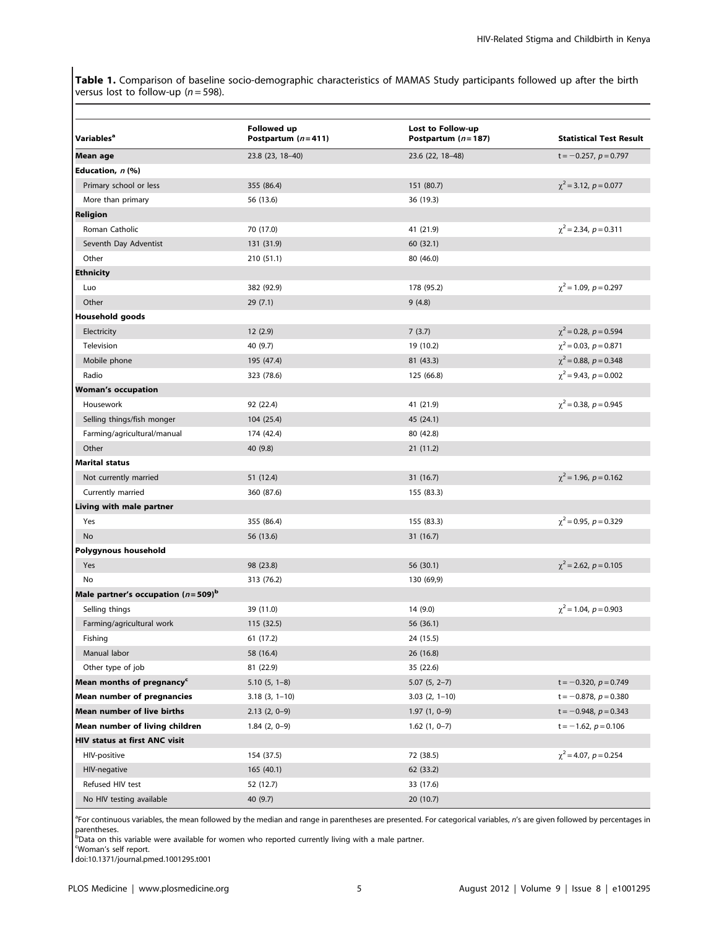Table 1. Comparison of baseline socio-demographic characteristics of MAMAS Study participants followed up after the birth versus lost to follow-up ( $n = 598$ ).

| Variables <sup>a</sup>                               | <b>Followed up</b><br>Postpartum $(n=411)$ | Lost to Follow-up<br>Postpartum $(n=187)$ | <b>Statistical Test Result</b> |
|------------------------------------------------------|--------------------------------------------|-------------------------------------------|--------------------------------|
| Mean age                                             | 23.8 (23, 18-40)                           | 23.6 (22, 18-48)                          | $t = -0.257$ , $p = 0.797$     |
| Education, n (%)                                     |                                            |                                           |                                |
| Primary school or less                               | 355 (86.4)                                 | 151 (80.7)                                | $\chi^2$ = 3.12, p = 0.077     |
| More than primary                                    | 56 (13.6)                                  | 36 (19.3)                                 |                                |
| Religion                                             |                                            |                                           |                                |
| Roman Catholic                                       | 70 (17.0)                                  | 41 (21.9)                                 | $\chi^2$ = 2.34, p = 0.311     |
| Seventh Day Adventist                                | 131 (31.9)                                 | 60 (32.1)                                 |                                |
| Other                                                | 210 (51.1)                                 | 80 (46.0)                                 |                                |
| <b>Ethnicity</b>                                     |                                            |                                           |                                |
| Luo                                                  | 382 (92.9)                                 | 178 (95.2)                                | $\chi^2$ = 1.09, p = 0.297     |
| Other                                                | 29(7.1)                                    | 9(4.8)                                    |                                |
| Household goods                                      |                                            |                                           |                                |
| Electricity                                          | 12(2.9)                                    | 7(3.7)                                    | $\chi^2$ = 0.28, p = 0.594     |
| Television                                           | 40 (9.7)                                   | 19 (10.2)                                 | $\chi^2$ = 0.03, p = 0.871     |
| Mobile phone                                         | 195 (47.4)                                 | 81 (43.3)                                 | $\chi^2$ = 0.88, p = 0.348     |
| Radio                                                | 323 (78.6)                                 | 125 (66.8)                                | $\chi^2$ = 9.43, p = 0.002     |
| <b>Woman's occupation</b>                            |                                            |                                           |                                |
| Housework                                            | 92 (22.4)                                  | 41 (21.9)                                 | $\chi^2$ = 0.38, p = 0.945     |
| Selling things/fish monger                           | 104 (25.4)                                 | 45 (24.1)                                 |                                |
| Farming/agricultural/manual                          | 174 (42.4)                                 | 80 (42.8)                                 |                                |
| Other                                                | 40 (9.8)                                   | 21(11.2)                                  |                                |
| Marital status                                       |                                            |                                           |                                |
| Not currently married                                | 51 (12.4)                                  | 31 (16.7)                                 | $\chi^2$ = 1.96, p = 0.162     |
| Currently married                                    | 360 (87.6)                                 | 155 (83.3)                                |                                |
| Living with male partner                             |                                            |                                           |                                |
| Yes                                                  | 355 (86.4)                                 | 155 (83.3)                                | $\chi^2$ = 0.95, p = 0.329     |
| No                                                   | 56 (13.6)                                  | 31 (16.7)                                 |                                |
| Polygynous household                                 |                                            |                                           |                                |
| Yes                                                  | 98 (23.8)                                  | 56 (30.1)                                 | $\chi^2$ = 2.62, p = 0.105     |
| No                                                   | 313 (76.2)                                 | 130 (69,9)                                |                                |
| Male partner's occupation ( $n = 509$ ) <sup>b</sup> |                                            |                                           |                                |
| Selling things                                       | 39 (11.0)                                  | 14 (9.0)                                  | $\chi^2$ = 1.04, p = 0.903     |
| Farming/agricultural work                            | 115 (32.5)                                 | 56 (36.1)                                 |                                |
| Fishing                                              | 61 (17.2)                                  | 24 (15.5)                                 |                                |
| Manual labor                                         | 58 (16.4)                                  | 26 (16.8)                                 |                                |
| Other type of job                                    | 81 (22.9)                                  | 35 (22.6)                                 |                                |
| Mean months of pregnancy <sup>c</sup>                | $5.10(5, 1-8)$                             | $5.07(5, 2-7)$                            | $t = -0.320$ , $p = 0.749$     |
| <b>Mean number of pregnancies</b>                    | $3.18(3, 1-10)$                            | $3.03$ $(2, 1-10)$                        | t = $-0.878$ , $p = 0.380$     |
| Mean number of live births                           | $2.13(2, 0-9)$                             | $1.97(1, 0-9)$                            | $t = -0.948$ , $p = 0.343$     |
| Mean number of living children                       | $1.84(2, 0-9)$                             | $1.62(1, 0-7)$                            | $t = -1.62$ , $p = 0.106$      |
| <b>HIV status at first ANC visit</b>                 |                                            |                                           |                                |
| HIV-positive                                         | 154 (37.5)                                 | 72 (38.5)                                 | $\chi^2$ = 4.07, p = 0.254     |
| HIV-negative                                         | 165(40.1)                                  | 62 (33.2)                                 |                                |
| Refused HIV test                                     | 52 (12.7)                                  | 33 (17.6)                                 |                                |
| No HIV testing available                             | 40 (9.7)                                   | 20(10.7)                                  |                                |

<sup>a</sup>For continuous variables, the mean followed by the median and range in parentheses are presented. For categorical variables, n's are given followed by percentages in parentheses.

<sup>b</sup>Data on this variable were available for women who reported currently living with a male partner.

<sup>c</sup>Woman's self report.

doi:10.1371/journal.pmed.1001295.t001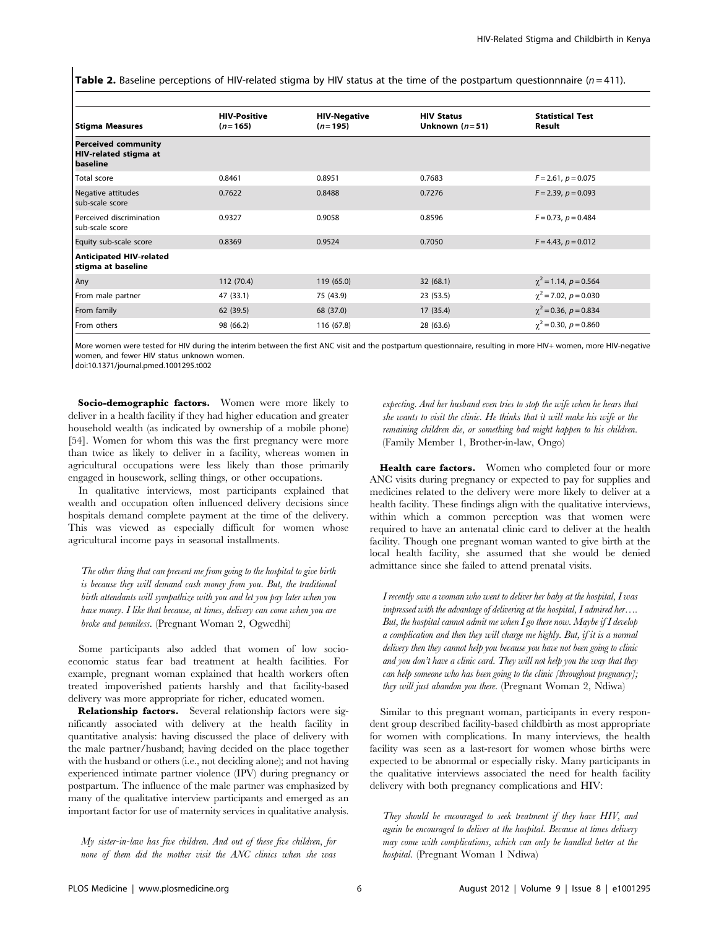Table 2. Baseline perceptions of HIV-related stigma by HIV status at the time of the postpartum questionnnaire ( $n = 411$ ).

| Stigma Measures                                                 | <b>HIV-Positive</b><br>$(n=165)$ | <b>HIV-Negative</b><br>$(n=195)$ | <b>HIV Status</b><br>Unknown $(n=51)$ | <b>Statistical Test</b><br>Result |
|-----------------------------------------------------------------|----------------------------------|----------------------------------|---------------------------------------|-----------------------------------|
| <b>Perceived community</b><br>HIV-related stigma at<br>baseline |                                  |                                  |                                       |                                   |
| Total score                                                     | 0.8461                           | 0.8951                           | 0.7683                                | $F = 2.61$ , $p = 0.075$          |
| Negative attitudes<br>sub-scale score                           | 0.7622                           | 0.8488                           | 0.7276                                | $F = 2.39$ , $p = 0.093$          |
| Perceived discrimination<br>sub-scale score                     | 0.9327                           | 0.9058                           | 0.8596                                | $F = 0.73$ , $p = 0.484$          |
| Equity sub-scale score                                          | 0.8369                           | 0.9524                           | 0.7050                                | $F = 4.43$ , $p = 0.012$          |
| Anticipated HIV-related<br>stigma at baseline                   |                                  |                                  |                                       |                                   |
| Any                                                             | 112 (70.4)                       | 119 (65.0)                       | 32(68.1)                              | $\chi^2$ = 1.14, p = 0.564        |
| From male partner                                               | 47 (33.1)                        | 75 (43.9)                        | 23 (53.5)                             | $\chi^2$ = 7.02, p = 0.030        |
| From family                                                     | 62 (39.5)                        | 68 (37.0)                        | 17 (35.4)                             | $\chi^2$ = 0.36, p = 0.834        |
| From others                                                     | 98 (66.2)                        | 116 (67.8)                       | 28 (63.6)                             | $\chi^2$ = 0.30, p = 0.860        |

More women were tested for HIV during the interim between the first ANC visit and the postpartum questionnaire, resulting in more HIV+ women, more HIV-negative women, and fewer HIV status unknown women.

doi:10.1371/journal.pmed.1001295.t002

Socio-demographic factors. Women were more likely to deliver in a health facility if they had higher education and greater household wealth (as indicated by ownership of a mobile phone) [54]. Women for whom this was the first pregnancy were more than twice as likely to deliver in a facility, whereas women in agricultural occupations were less likely than those primarily engaged in housework, selling things, or other occupations.

In qualitative interviews, most participants explained that wealth and occupation often influenced delivery decisions since hospitals demand complete payment at the time of the delivery. This was viewed as especially difficult for women whose agricultural income pays in seasonal installments.

The other thing that can prevent me from going to the hospital to give birth is because they will demand cash money from you. But, the traditional birth attendants will sympathize with you and let you pay later when you have money. I like that because, at times, delivery can come when you are broke and penniless. (Pregnant Woman 2, Ogwedhi)

Some participants also added that women of low socioeconomic status fear bad treatment at health facilities. For example, pregnant woman explained that health workers often treated impoverished patients harshly and that facility-based delivery was more appropriate for richer, educated women.

Relationship factors. Several relationship factors were significantly associated with delivery at the health facility in quantitative analysis: having discussed the place of delivery with the male partner/husband; having decided on the place together with the husband or others (i.e., not deciding alone); and not having experienced intimate partner violence (IPV) during pregnancy or postpartum. The influence of the male partner was emphasized by many of the qualitative interview participants and emerged as an important factor for use of maternity services in qualitative analysis.

My sister-in-law has five children. And out of these five children, for none of them did the mother visit the ANC clinics when she was expecting. And her husband even tries to stop the wife when he hears that she wants to visit the clinic. He thinks that it will make his wife or the remaining children die, or something bad might happen to his children. (Family Member 1, Brother-in-law, Ongo)

Health care factors. Women who completed four or more ANC visits during pregnancy or expected to pay for supplies and medicines related to the delivery were more likely to deliver at a health facility. These findings align with the qualitative interviews, within which a common perception was that women were required to have an antenatal clinic card to deliver at the health facility. Though one pregnant woman wanted to give birth at the local health facility, she assumed that she would be denied admittance since she failed to attend prenatal visits.

I recently saw a woman who went to deliver her baby at the hospital, I was impressed with the advantage of delivering at the hospital, I admired her…. But, the hospital cannot admit me when  $I$  go there now. Maybe if  $I$  develop a complication and then they will charge me highly. But, if it is a normal delivery then they cannot help you because you have not been going to clinic and you don't have a clinic card. They will not help you the way that they can help someone who has been going to the clinic  $[th row]$  pregnancy $];$ they will just abandon you there. (Pregnant Woman 2, Ndiwa)

Similar to this pregnant woman, participants in every respondent group described facility-based childbirth as most appropriate for women with complications. In many interviews, the health facility was seen as a last-resort for women whose births were expected to be abnormal or especially risky. Many participants in the qualitative interviews associated the need for health facility delivery with both pregnancy complications and HIV:

They should be encouraged to seek treatment if they have HIV, and again be encouraged to deliver at the hospital. Because at times delivery may come with complications, which can only be handled better at the hospital. (Pregnant Woman 1 Ndiwa)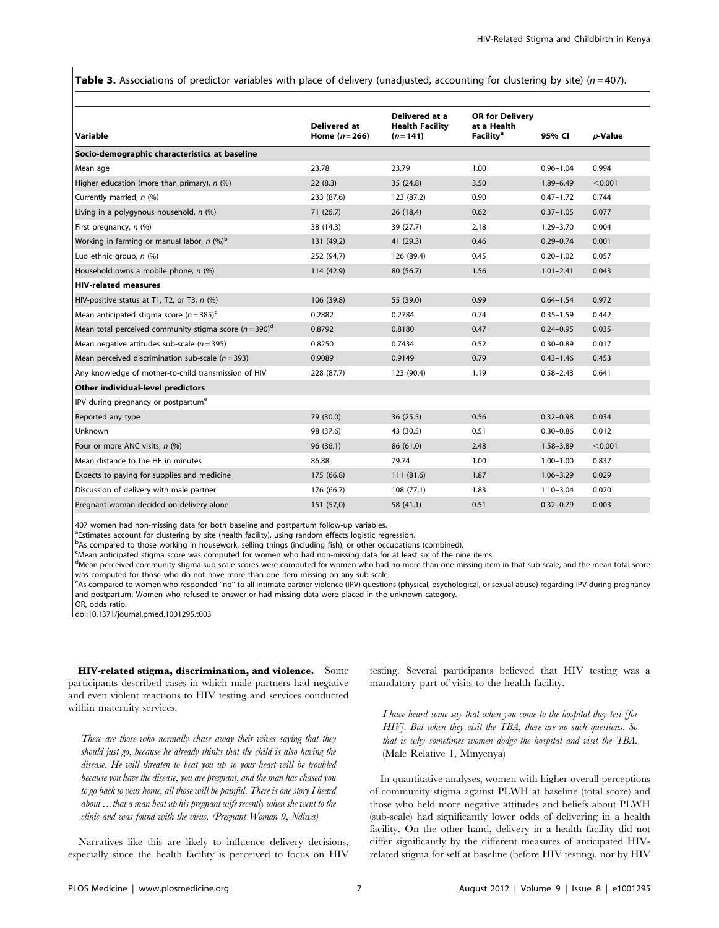Table 3. Associations of predictor variables with place of delivery (unadjusted, accounting for clustering by site) ( $n=407$ ).

| Variable                                                 | <b>Delivered at</b><br>Home $(n = 266)$ | Delivered at a<br><b>Health Facility</b><br>$(n=141)$ | <b>OR for Delivery</b><br>at a Health<br><b>Facility<sup>a</sup></b> | 95% CI        | $p$ -Value |
|----------------------------------------------------------|-----------------------------------------|-------------------------------------------------------|----------------------------------------------------------------------|---------------|------------|
| Socio-demographic characteristics at baseline            |                                         |                                                       |                                                                      |               |            |
| Mean age                                                 | 23.78                                   | 23.79                                                 | 1.00                                                                 | $0.96 - 1.04$ | 0.994      |
| Higher education (more than primary), $n$ (%)            | 22(8.3)                                 | 35 (24.8)                                             | 3.50                                                                 | $1.89 - 6.49$ | < 0.001    |
| Currently married, n (%)                                 | 233 (87.6)                              | 123 (87.2)                                            | 0.90                                                                 | $0.47 - 1.72$ | 0.744      |
| Living in a polygynous household, $n$ (%)                | 71(26.7)                                | 26 (18,4)                                             | 0.62                                                                 | $0.37 - 1.05$ | 0.077      |
| First pregnancy, n (%)                                   | 38 (14.3)                               | 39 (27.7)                                             | 2.18                                                                 | $1.29 - 3.70$ | 0.004      |
| Working in farming or manual labor, $n$ (%) <sup>b</sup> | 131 (49.2)                              | 41 (29.3)                                             | 0.46                                                                 | $0.29 - 0.74$ | 0.001      |
| Luo ethnic group, n (%)                                  | 252 (94,7)                              | 126 (89,4)                                            | 0.45                                                                 | $0.20 - 1.02$ | 0.057      |
| Household owns a mobile phone, n (%)                     | 114 (42.9)                              | 80 (56.7)                                             | 1.56                                                                 | $1.01 - 2.41$ | 0.043      |
| HIV-related measures                                     |                                         |                                                       |                                                                      |               |            |
| HIV-positive status at T1, T2, or T3, n (%)              | 106 (39.8)                              | 55 (39.0)                                             | 0.99                                                                 | $0.64 - 1.54$ | 0.972      |
| Mean anticipated stigma score $(n=385)^c$                | 0.2882                                  | 0.2784                                                | 0.74                                                                 | $0.35 - 1.59$ | 0.442      |
| Mean total perceived community stigma score $(n=390)^d$  | 0.8792                                  | 0.8180                                                | 0.47                                                                 | $0.24 - 0.95$ | 0.035      |
| Mean negative attitudes sub-scale ( $n = 395$ )          | 0.8250                                  | 0.7434                                                | 0.52                                                                 | $0.30 - 0.89$ | 0.017      |
| Mean perceived discrimination sub-scale ( $n = 393$ )    | 0.9089                                  | 0.9149                                                | 0.79                                                                 | $0.43 - 1.46$ | 0.453      |
| Any knowledge of mother-to-child transmission of HIV     | 228 (87.7)                              | 123 (90.4)                                            | 1.19                                                                 | $0.58 - 2.43$ | 0.641      |
| Other individual-level predictors                        |                                         |                                                       |                                                                      |               |            |
| IPV during pregnancy or postpartum <sup>e</sup>          |                                         |                                                       |                                                                      |               |            |
| Reported any type                                        | 79 (30.0)                               | 36 (25.5)                                             | 0.56                                                                 | $0.32 - 0.98$ | 0.034      |
| Unknown                                                  | 98 (37.6)                               | 43 (30.5)                                             | 0.51                                                                 | $0.30 - 0.86$ | 0.012      |
| Four or more ANC visits, n (%)                           | 96 (36.1)                               | 86 (61.0)                                             | 2.48                                                                 | $1.58 - 3.89$ | < 0.001    |
| Mean distance to the HF in minutes                       | 86.88                                   | 79.74                                                 | 1.00                                                                 | $1.00 - 1.00$ | 0.837      |
| Expects to paying for supplies and medicine              | 175 (66.8)                              | 111 (81.6)                                            | 1.87                                                                 | $1.06 - 3.29$ | 0.029      |
| Discussion of delivery with male partner                 | 176 (66.7)                              | 108(77,1)                                             | 1.83                                                                 | $1.10 - 3.04$ | 0.020      |
| Pregnant woman decided on delivery alone                 | 151 (57,0)                              | 58 (41.1)                                             | 0.51                                                                 | $0.32 - 0.79$ | 0.003      |

407 women had non-missing data for both baseline and postpartum follow-up variables.

<sup>a</sup>Estimates account for clustering by site (health facility), using random effects logistic regression.

bAs compared to those working in housework, selling things (including fish), or other occupations (combined).

c Mean anticipated stigma score was computed for women who had non-missing data for at least six of the nine items.

<sup>d</sup>Mean perceived community stigma sub-scale scores were computed for women who had no more than one missing item in that sub-scale, and the mean total score was computed for those who do not have more than one item missing on any sub-scale.

e As compared to women who responded "no" to all intimate partner violence (IPV) questions (physical, psychological, or sexual abuse) regarding IPV during pregnancy and postpartum. Women who refused to answer or had missing data were placed in the unknown category.

OR, odds ratio.

doi:10.1371/journal.pmed.1001295.t003

HIV-related stigma, discrimination, and violence. Some participants described cases in which male partners had negative and even violent reactions to HIV testing and services conducted within maternity services.

There are those who normally chase away their wives saying that they should just go, because he already thinks that the child is also having the disease. He will threaten to beat you up so your heart will be troubled because you have the disease, you are pregnant, and the man has chased you to go back to your home, all those will be painful. There is one story I heard about …that a man beat up his pregnant wife recently when she went to the clinic and was found with the virus. (Pregnant Woman 9, Ndiwa)

Narratives like this are likely to influence delivery decisions, especially since the health facility is perceived to focus on HIV

testing. Several participants believed that HIV testing was a mandatory part of visits to the health facility.

I have heard some say that when you come to the hospital they test [for HIV]. But when they visit the TBA, there are no such questions. So that is why sometimes women dodge the hospital and visit the TBA. (Male Relative 1, Minyenya)

In quantitative analyses, women with higher overall perceptions of community stigma against PLWH at baseline (total score) and those who held more negative attitudes and beliefs about PLWH (sub-scale) had significantly lower odds of delivering in a health facility. On the other hand, delivery in a health facility did not differ significantly by the different measures of anticipated HIVrelated stigma for self at baseline (before HIV testing), nor by HIV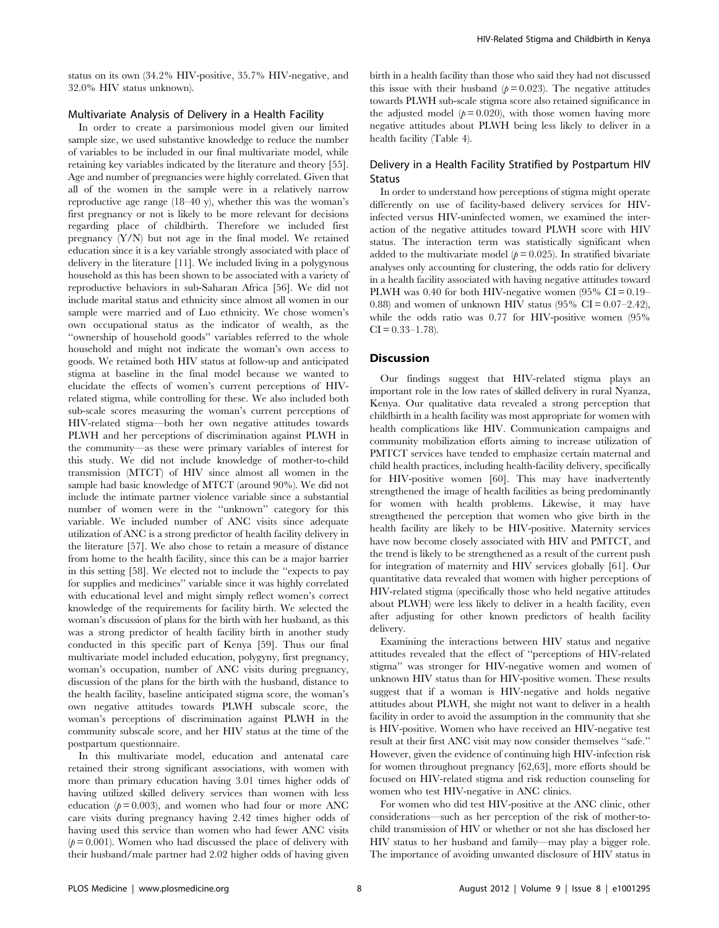status on its own (34.2% HIV-positive, 35.7% HIV-negative, and 32.0% HIV status unknown).

## Multivariate Analysis of Delivery in a Health Facility

In order to create a parsimonious model given our limited sample size, we used substantive knowledge to reduce the number of variables to be included in our final multivariate model, while retaining key variables indicated by the literature and theory [55]. Age and number of pregnancies were highly correlated. Given that all of the women in the sample were in a relatively narrow reproductive age range (18–40 y), whether this was the woman's first pregnancy or not is likely to be more relevant for decisions regarding place of childbirth. Therefore we included first pregnancy (Y/N) but not age in the final model. We retained education since it is a key variable strongly associated with place of delivery in the literature [11]. We included living in a polygynous household as this has been shown to be associated with a variety of reproductive behaviors in sub-Saharan Africa [56]. We did not include marital status and ethnicity since almost all women in our sample were married and of Luo ethnicity. We chose women's own occupational status as the indicator of wealth, as the ''ownership of household goods'' variables referred to the whole household and might not indicate the woman's own access to goods. We retained both HIV status at follow-up and anticipated stigma at baseline in the final model because we wanted to elucidate the effects of women's current perceptions of HIVrelated stigma, while controlling for these. We also included both sub-scale scores measuring the woman's current perceptions of HIV-related stigma—both her own negative attitudes towards PLWH and her perceptions of discrimination against PLWH in the community—as these were primary variables of interest for this study. We did not include knowledge of mother-to-child transmission (MTCT) of HIV since almost all women in the sample had basic knowledge of MTCT (around 90%). We did not include the intimate partner violence variable since a substantial number of women were in the ''unknown'' category for this variable. We included number of ANC visits since adequate utilization of ANC is a strong predictor of health facility delivery in the literature [57]. We also chose to retain a measure of distance from home to the health facility, since this can be a major barrier in this setting [58]. We elected not to include the ''expects to pay for supplies and medicines'' variable since it was highly correlated with educational level and might simply reflect women's correct knowledge of the requirements for facility birth. We selected the woman's discussion of plans for the birth with her husband, as this was a strong predictor of health facility birth in another study conducted in this specific part of Kenya [59]. Thus our final multivariate model included education, polygyny, first pregnancy, woman's occupation, number of ANC visits during pregnancy, discussion of the plans for the birth with the husband, distance to the health facility, baseline anticipated stigma score, the woman's own negative attitudes towards PLWH subscale score, the woman's perceptions of discrimination against PLWH in the community subscale score, and her HIV status at the time of the postpartum questionnaire.

In this multivariate model, education and antenatal care retained their strong significant associations, with women with more than primary education having 3.01 times higher odds of having utilized skilled delivery services than women with less education ( $p = 0.003$ ), and women who had four or more ANC care visits during pregnancy having 2.42 times higher odds of having used this service than women who had fewer ANC visits  $(p= 0.001)$ . Women who had discussed the place of delivery with their husband/male partner had 2.02 higher odds of having given birth in a health facility than those who said they had not discussed this issue with their husband  $(p = 0.023)$ . The negative attitudes towards PLWH sub-scale stigma score also retained significance in the adjusted model  $(p = 0.020)$ , with those women having more negative attitudes about PLWH being less likely to deliver in a health facility (Table 4).

## Delivery in a Health Facility Stratified by Postpartum HIV Status

In order to understand how perceptions of stigma might operate differently on use of facility-based delivery services for HIVinfected versus HIV-uninfected women, we examined the interaction of the negative attitudes toward PLWH score with HIV status. The interaction term was statistically significant when added to the multivariate model ( $p = 0.025$ ). In stratified bivariate analyses only accounting for clustering, the odds ratio for delivery in a health facility associated with having negative attitudes toward PLWH was 0.40 for both HIV-negative women (95% CI =  $0.19-$ 0.88) and women of unknown HIV status (95% CI =  $0.07-2.42$ ), while the odds ratio was 0.77 for HIV-positive women (95%  $CI = 0.33 - 1.78$ .

## **Discussion**

Our findings suggest that HIV-related stigma plays an important role in the low rates of skilled delivery in rural Nyanza, Kenya. Our qualitative data revealed a strong perception that childbirth in a health facility was most appropriate for women with health complications like HIV. Communication campaigns and community mobilization efforts aiming to increase utilization of PMTCT services have tended to emphasize certain maternal and child health practices, including health-facility delivery, specifically for HIV-positive women [60]. This may have inadvertently strengthened the image of health facilities as being predominantly for women with health problems. Likewise, it may have strengthened the perception that women who give birth in the health facility are likely to be HIV-positive. Maternity services have now become closely associated with HIV and PMTCT, and the trend is likely to be strengthened as a result of the current push for integration of maternity and HIV services globally [61]. Our quantitative data revealed that women with higher perceptions of HIV-related stigma (specifically those who held negative attitudes about PLWH) were less likely to deliver in a health facility, even after adjusting for other known predictors of health facility delivery.

Examining the interactions between HIV status and negative attitudes revealed that the effect of ''perceptions of HIV-related stigma'' was stronger for HIV-negative women and women of unknown HIV status than for HIV-positive women. These results suggest that if a woman is HIV-negative and holds negative attitudes about PLWH, she might not want to deliver in a health facility in order to avoid the assumption in the community that she is HIV-positive. Women who have received an HIV-negative test result at their first ANC visit may now consider themselves ''safe.'' However, given the evidence of continuing high HIV-infection risk for women throughout pregnancy [62,63], more efforts should be focused on HIV-related stigma and risk reduction counseling for women who test HIV-negative in ANC clinics.

For women who did test HIV-positive at the ANC clinic, other considerations—such as her perception of the risk of mother-tochild transmission of HIV or whether or not she has disclosed her HIV status to her husband and family—may play a bigger role. The importance of avoiding unwanted disclosure of HIV status in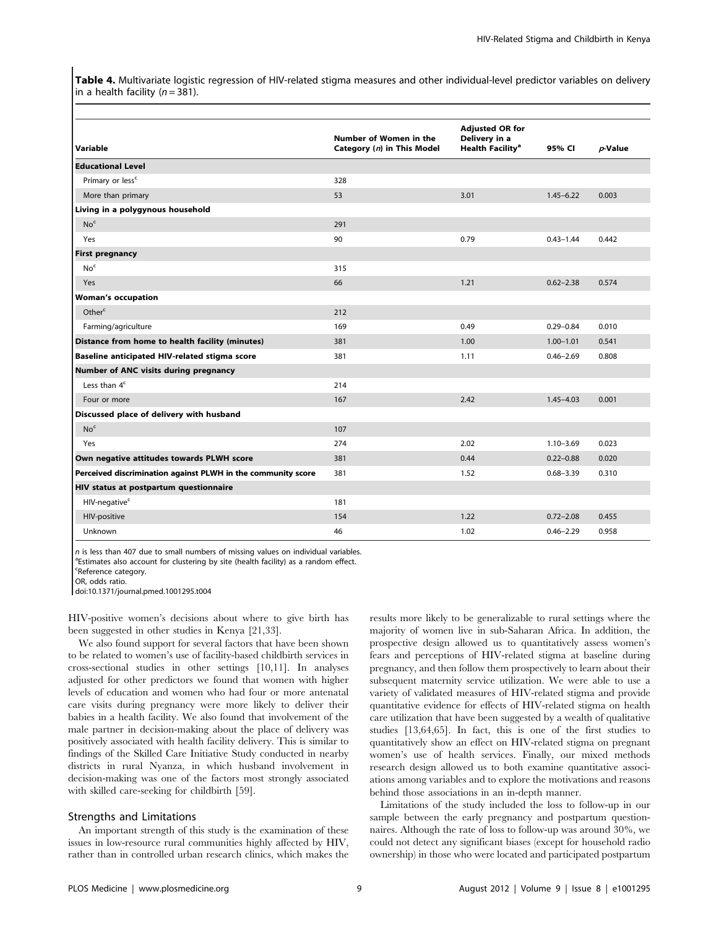Table 4. Multivariate logistic regression of HIV-related stigma measures and other individual-level predictor variables on delivery in a health facility ( $n = 381$ ).

| Variable                                                     | Number of Women in the<br>Category (n) in This Model | <b>Adjusted OR for</b><br>Delivery in a<br><b>Health Facility<sup>a</sup></b> | 95% CI        | $p$ -Value |
|--------------------------------------------------------------|------------------------------------------------------|-------------------------------------------------------------------------------|---------------|------------|
| <b>Educational Level</b>                                     |                                                      |                                                                               |               |            |
| Primary or less <sup>c</sup>                                 | 328                                                  |                                                                               |               |            |
| More than primary                                            | 53                                                   | 3.01                                                                          | $1.45 - 6.22$ | 0.003      |
| Living in a polygynous household                             |                                                      |                                                                               |               |            |
| No <sup>c</sup>                                              | 291                                                  |                                                                               |               |            |
| Yes                                                          | 90                                                   | 0.79                                                                          | $0.43 - 1.44$ | 0.442      |
| <b>First pregnancy</b>                                       |                                                      |                                                                               |               |            |
| No <sup>c</sup>                                              | 315                                                  |                                                                               |               |            |
| Yes                                                          | 66                                                   | 1.21                                                                          | $0.62 - 2.38$ | 0.574      |
| <b>Woman's occupation</b>                                    |                                                      |                                                                               |               |            |
| Other <sup>c</sup>                                           | 212                                                  |                                                                               |               |            |
| Farming/agriculture                                          | 169                                                  | 0.49                                                                          | $0.29 - 0.84$ | 0.010      |
| Distance from home to health facility (minutes)              | 381                                                  | 1.00                                                                          | $1.00 - 1.01$ | 0.541      |
| Baseline anticipated HIV-related stigma score                | 381                                                  | 1.11                                                                          | $0.46 - 2.69$ | 0.808      |
| Number of ANC visits during pregnancy                        |                                                      |                                                                               |               |            |
| Less than $4c$                                               | 214                                                  |                                                                               |               |            |
| Four or more                                                 | 167                                                  | 2.42                                                                          | $1.45 - 4.03$ | 0.001      |
| Discussed place of delivery with husband                     |                                                      |                                                                               |               |            |
| No <sup>c</sup>                                              | 107                                                  |                                                                               |               |            |
| Yes                                                          | 274                                                  | 2.02                                                                          | $1.10 - 3.69$ | 0.023      |
| Own negative attitudes towards PLWH score                    | 381                                                  | 0.44                                                                          | $0.22 - 0.88$ | 0.020      |
| Perceived discrimination against PLWH in the community score | 381                                                  | 1.52                                                                          | $0.68 - 3.39$ | 0.310      |
| HIV status at postpartum questionnaire                       |                                                      |                                                                               |               |            |
| HIV-negative <sup>c</sup>                                    | 181                                                  |                                                                               |               |            |
| HIV-positive                                                 | 154                                                  | 1.22                                                                          | $0.72 - 2.08$ | 0.455      |
| Unknown                                                      | 46                                                   | 1.02                                                                          | $0.46 - 2.29$ | 0.958      |

 $n$  is less than 407 due to small numbers of missing values on individual variables. <sup>a</sup>Estimates also account for clustering by site (health facility) as a random effect.

<sup>c</sup>Reference category.

OR, odds ratio.

doi:10.1371/journal.pmed.1001295.t004

HIV-positive women's decisions about where to give birth has been suggested in other studies in Kenya [21,33].

We also found support for several factors that have been shown to be related to women's use of facility-based childbirth services in cross-sectional studies in other settings [10,11]. In analyses adjusted for other predictors we found that women with higher levels of education and women who had four or more antenatal care visits during pregnancy were more likely to deliver their babies in a health facility. We also found that involvement of the male partner in decision-making about the place of delivery was positively associated with health facility delivery. This is similar to findings of the Skilled Care Initiative Study conducted in nearby districts in rural Nyanza, in which husband involvement in decision-making was one of the factors most strongly associated with skilled care-seeking for childbirth [59].

## Strengths and Limitations

An important strength of this study is the examination of these issues in low-resource rural communities highly affected by HIV, rather than in controlled urban research clinics, which makes the results more likely to be generalizable to rural settings where the majority of women live in sub-Saharan Africa. In addition, the prospective design allowed us to quantitatively assess women's fears and perceptions of HIV-related stigma at baseline during pregnancy, and then follow them prospectively to learn about their subsequent maternity service utilization. We were able to use a variety of validated measures of HIV-related stigma and provide quantitative evidence for effects of HIV-related stigma on health care utilization that have been suggested by a wealth of qualitative studies [13,64,65]. In fact, this is one of the first studies to quantitatively show an effect on HIV-related stigma on pregnant women's use of health services. Finally, our mixed methods research design allowed us to both examine quantitative associations among variables and to explore the motivations and reasons behind those associations in an in-depth manner.

Limitations of the study included the loss to follow-up in our sample between the early pregnancy and postpartum questionnaires. Although the rate of loss to follow-up was around 30%, we could not detect any significant biases (except for household radio ownership) in those who were located and participated postpartum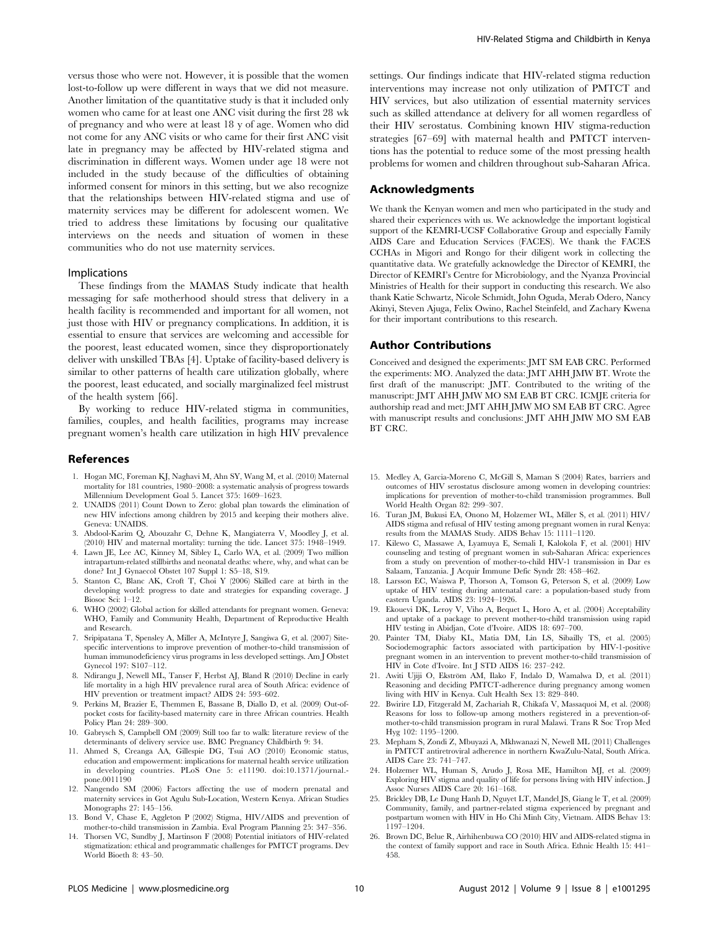versus those who were not. However, it is possible that the women lost-to-follow up were different in ways that we did not measure. Another limitation of the quantitative study is that it included only women who came for at least one ANC visit during the first 28 wk of pregnancy and who were at least 18 y of age. Women who did not come for any ANC visits or who came for their first ANC visit late in pregnancy may be affected by HIV-related stigma and discrimination in different ways. Women under age 18 were not included in the study because of the difficulties of obtaining informed consent for minors in this setting, but we also recognize that the relationships between HIV-related stigma and use of maternity services may be different for adolescent women. We tried to address these limitations by focusing our qualitative interviews on the needs and situation of women in these communities who do not use maternity services.

#### Implications

These findings from the MAMAS Study indicate that health messaging for safe motherhood should stress that delivery in a health facility is recommended and important for all women, not just those with HIV or pregnancy complications. In addition, it is essential to ensure that services are welcoming and accessible for the poorest, least educated women, since they disproportionately deliver with unskilled TBAs [4]. Uptake of facility-based delivery is similar to other patterns of health care utilization globally, where the poorest, least educated, and socially marginalized feel mistrust of the health system [66].

By working to reduce HIV-related stigma in communities, families, couples, and health facilities, programs may increase pregnant women's health care utilization in high HIV prevalence

## References

- 1. Hogan MC, Foreman KJ, Naghavi M, Ahn SY, Wang M, et al. (2010) Maternal mortality for 181 countries, 1980–2008: a systematic analysis of progress towards Millennium Development Goal 5. Lancet 375: 1609–1623.
- 2. UNAIDS (2011) Count Down to Zero: global plan towards the elimination of new HIV infections among children by 2015 and keeping their mothers alive. Geneva: UNAIDS.
- 3. Abdool-Karim Q, Abouzahr C, Dehne K, Mangiaterra V, Moodley J, et al. (2010) HIV and maternal mortality: turning the tide. Lancet 375: 1948–1949.
- 4. Lawn JE, Lee AC, Kinney M, Sibley L, Carlo WA, et al. (2009) Two million intrapartum-related stillbirths and neonatal deaths: where, why, and what can be done? Int J Gynaecol Obstet 107 Suppl 1: S5–18, S19.
- 5. Stanton C, Blanc AK, Croft T, Choi Y (2006) Skilled care at birth in the developing world: progress to date and strategies for expanding coverage. J Biosoc Sci: 1–12.
- 6. WHO (2002) Global action for skilled attendants for pregnant women. Geneva: WHO, Family and Community Health, Department of Reproductive Health and Research.
- 7. Sripipatana T, Spensley A, Miller A, McIntyre J, Sangiwa G, et al. (2007) Sitespecific interventions to improve prevention of mother-to-child transmission of human immunodeficiency virus programs in less developed settings. Am J Obstet Gynecol 197: S107–112.
- 8. Ndirangu J, Newell ML, Tanser F, Herbst AJ, Bland R (2010) Decline in early life mortality in a high HIV prevalence rural area of South Africa: evidence of HIV prevention or treatment impact? AIDS 24: 593–602.
- 9. Perkins M, Brazier E, Themmen E, Bassane B, Diallo D, et al. (2009) Out-ofpocket costs for facility-based maternity care in three African countries. Health Policy Plan 24: 289–300.
- 10. Gabrysch S, Campbell OM (2009) Still too far to walk: literature review of the determinants of delivery service use. BMC Pregnancy Childbirth 9: 34.
- 11. Ahmed S, Creanga AA, Gillespie DG, Tsui AO (2010) Economic status, education and empowerment: implications for maternal health service utilization in developing countries. PLoS One 5: e11190. doi:10.1371/journal. pone.0011190
- 12. Nangendo SM (2006) Factors affecting the use of modern prenatal and maternity services in Got Agulu Sub-Location, Western Kenya. African Studies Monographs 27: 145–156.
- mother-to-child transmission in Zambia. Eval Program Planning 25: 347–356.
- 
- 13. Bond V, Chase E, Aggleton P (2002) Stigma, HIV/AIDS and prevention of 14. Thorsen VC, Sundby J, Martinson F (2008) Potential initiators of HIV-related stigmatization: ethical and programmatic challenges for PMTCT programs. Dev

HIV-Related Stigma and Childbirth in Kenya

settings. Our findings indicate that HIV-related stigma reduction interventions may increase not only utilization of PMTCT and HIV services, but also utilization of essential maternity services such as skilled attendance at delivery for all women regardless of their HIV serostatus. Combining known HIV stigma-reduction strategies [67–69] with maternal health and PMTCT interventions has the potential to reduce some of the most pressing health problems for women and children throughout sub-Saharan Africa.

## Acknowledgments

We thank the Kenyan women and men who participated in the study and shared their experiences with us. We acknowledge the important logistical support of the KEMRI-UCSF Collaborative Group and especially Family AIDS Care and Education Services (FACES). We thank the FACES CCHAs in Migori and Rongo for their diligent work in collecting the quantitative data. We gratefully acknowledge the Director of KEMRI, the Director of KEMRI's Centre for Microbiology, and the Nyanza Provincial Ministries of Health for their support in conducting this research. We also thank Katie Schwartz, Nicole Schmidt, John Oguda, Merab Odero, Nancy Akinyi, Steven Ajuga, Felix Owino, Rachel Steinfeld, and Zachary Kwena for their important contributions to this research.

## Author Contributions

Conceived and designed the experiments: JMT SM EAB CRC. Performed the experiments: MO. Analyzed the data: JMT AHH JMW BT. Wrote the first draft of the manuscript: JMT. Contributed to the writing of the manuscript: JMT AHH JMW MO SM EAB BT CRC. ICMJE criteria for authorship read and met: JMT AHH JMW MO SM EAB BT CRC. Agree with manuscript results and conclusions: JMT AHH JMW MO SM EAB BT CRC.

- 15. Medley A, Garcia-Moreno C, McGill S, Maman S (2004) Rates, barriers and outcomes of HIV serostatus disclosure among women in developing countries: implications for prevention of mother-to-child transmission programmes. Bull World Health Organ 82: 299–307.
- 16. Turan JM, Bukusi EA, Onono M, Holzemer WL, Miller S, et al. (2011) HIV/ AIDS stigma and refusal of HIV testing among pregnant women in rural Kenya: results from the MAMAS Study. AIDS Behav 15: 1111–1120.
- 17. Kilewo C, Massawe A, Lyamuya E, Semali I, Kalokola F, et al. (2001) HIV counseling and testing of pregnant women in sub-Saharan Africa: experiences from a study on prevention of mother-to-child HIV-1 transmission in Dar es Salaam, Tanzania. J Acquir Immune Defic Syndr 28: 458–462.
- 18. Larsson EC, Waiswa P, Thorson A, Tomson G, Peterson S, et al. (2009) Low uptake of HIV testing during antenatal care: a population-based study from eastern Uganda. AIDS 23: 1924–1926.
- 19. Ekouevi DK, Leroy V, Viho A, Bequet L, Horo A, et al. (2004) Acceptability and uptake of a package to prevent mother-to-child transmission using rapid HIV testing in Abidjan, Cote d'Ivoire. AIDS 18: 697–700.
- 20. Painter TM, Diaby KL, Matia DM, Lin LS, Sibailly TS, et al. (2005) Sociodemographic factors associated with participation by HIV-1-positive pregnant women in an intervention to prevent mother-to-child transmission of HIV in Cote d'Ivoire. Int J STD AIDS 16: 237–242.
- 21. Awiti Ujiji O, Ekström AM, Ilako F, Indalo D, Wamalwa D, et al. (2011) Reasoning and deciding PMTCT-adherence during pregnancy among women living with HIV in Kenya. Cult Health Sex 13: 829–840.
- 22. Bwirire LD, Fitzgerald M, Zachariah R, Chikafa V, Massaquoi M, et al. (2008) Reasons for loss to follow-up among mothers registered in a prevention-ofmother-to-child transmission program in rural Malawi. Trans R Soc Trop Med Hyg 102: 1195–1200.
- 23. Mepham S, Zondi Z, Mbuyazi A, Mkhwanazi N, Newell ML (2011) Challenges in PMTCT antiretroviral adherence in northern KwaZulu-Natal, South Africa. AIDS Care 23: 741–747.
- 24. Holzemer WL, Human S, Arudo J, Rosa ME, Hamilton MJ, et al. (2009) Exploring HIV stigma and quality of life for persons living with HIV infection. J Assoc Nurses AIDS Care 20: 161–168.
- 25. Brickley DB, Le Dung Hanh D, Nguyet LT, Mandel JS, Giang le T, et al. (2009) Community, family, and partner-related stigma experienced by pregnant and postpartum women with HIV in Ho Chi Minh City, Vietnam. AIDS Behav 13: 1197–1204.
- 26. Brown DC, Belue R, Airhihenbuwa CO (2010) HIV and AIDS-related stigma in the context of family support and race in South Africa. Ethnic Health 15: 441– 458.

World Bioeth 8: 43–50.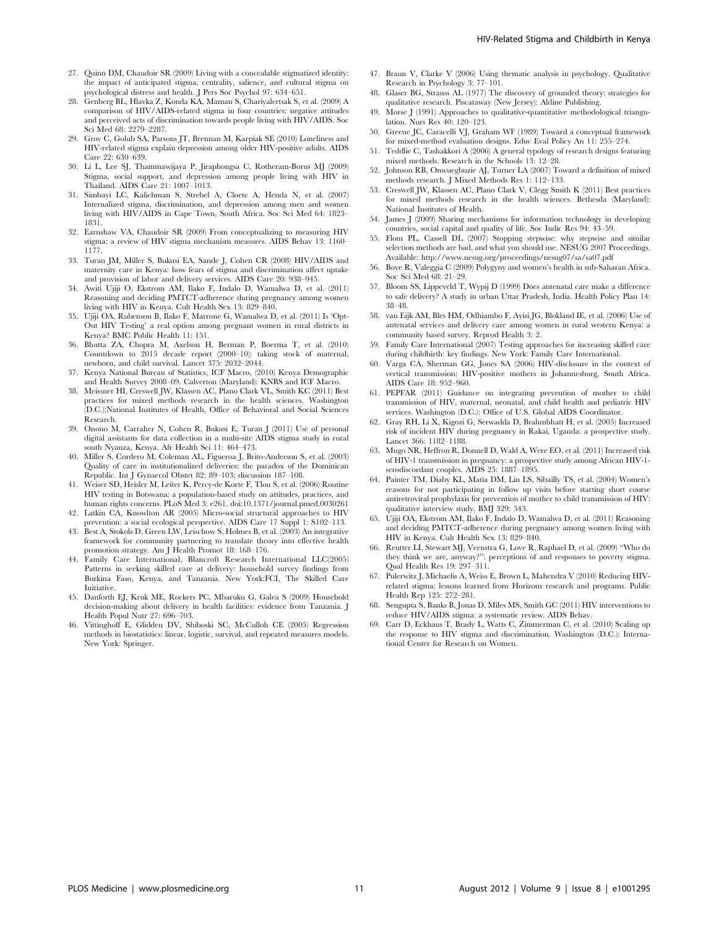- 27. Quinn DM, Chaudoir SR (2009) Living with a concealable stigmatized identity: the impact of anticipated stigma, centrality, salience, and cultural stigma on psychological distress and health. J Pers Soc Psychol 97: 634–651.
- 28. Genberg BL, Hlavka Z, Konda KA, Maman S, Chariyalertsak S, et al. (2009) A comparison of HIV/AIDS-related stigma in four countries: negative attitudes and perceived acts of discrimination towards people living with HIV/AIDS. Soc Sci Med 68: 2279–2287.
- 29. Grov C, Golub SA, Parsons JT, Brennan M, Karpiak SE (2010) Loneliness and HIV-related stigma explain depression among older HIV-positive adults. AIDS Care 22: 630–639.
- 30. Li L, Lee SJ, Thammawijaya P, Jiraphongsa C, Rotheram-Borus MJ (2009) Stigma, social support, and depression among people living with HIV in Thailand. AIDS Care 21: 1007–1013.
- 31. Simbayi LC, Kalichman S, Strebel A, Cloete A, Henda N, et al. (2007) Internalized stigma, discrimination, and depression among men and women living with HIV/AIDS in Cape Town, South Africa. Soc Sci Med 64: 1823– 1831.
- 32. Earnshaw VA, Chaudoir SR (2009) From conceptualizing to measuring HIV stigma: a review of HIV stigma mechanism measures. AIDS Behav 13: 1160– 1177.
- 33. Turan JM, Miller S, Bukusi EA, Sande J, Cohen CR (2008) HIV/AIDS and maternity care in Kenya: how fears of stigma and discrimination affect uptake and provision of labor and delivery services. AIDS Care 20: 938–945.
- 34. Awiti Ujiji O, Ekstrom AM, Ilako F, Indalo D, Wamalwa D, et al. (2011) Reasoning and deciding PMTCT-adherence during pregnancy among women living with HIV in Kenya. Cult Health Sex 13: 829–840.
- 35. Ujiji OA, Rubenson B, Ilako F, Marrone G, Wamalwa D, et al. (2011) Is 'Opt-Out HIV Testing' a real option among pregnant women in rural districts in Kenya? BMC Public Health 11: 151.
- 36. Bhutta ZA, Chopra M, Axelson H, Berman P, Boerma T, et al. (2010) Countdown to 2015 decade report (2000–10): taking stock of maternal, newborn, and child survival. Lancet 375: 2032–2044.
- 37. Kenya National Bureau of Statistics, ICF Macro, (2010) Kenya Demographic and Health Survey 2008–09. Calverton (Maryland): KNBS and ICF Macro.
- 38. Meissner HI, Creswell JW, Klassen AC, Plano Clark VL, Smith KC (2011) Best practices for mixed methods research in the health sciences. Washington (D.C.):National Institutes of Health, Office of Behavioral and Social Sciences Research.
- 39. Onono M, Carraher N, Cohen R, Bukusi E, Turan J (2011) Use of personal digital assistants for data collection in a multi-site AIDS stigma study in rural south Nyanza, Kenya. Afr Health Sci 11: 464–473.
- 40. Miller S, Cordero M, Coleman AL, Figueroa J, Brito-Anderson S, et al. (2003) Quality of care in institutionalized deliveries: the paradox of the Dominican Republic. Int J Gynaecol Obstet 82: 89–103; discussion 187–108.
- 41. Weiser SD, Heisler M, Leiter K, Percy-de Korte F, Tlou S, et al. (2006) Routine HIV testing in Botswana: a population-based study on attitudes, practices, and human rights concerns. PLoS Med 3: e261. doi:10.1371/journal.pmed.0030261
- 42. Latkin CA, Knowlton AR (2005) Micro-social structural approaches to HIV prevention: a social ecological perspective. AIDS Care 17 Suppl 1: S102–113.
- 43. Best A, Stokols D, Green LW, Leischow S, Holmes B, et al. (2003) An integrative framework for community partnering to translate theory into effective health promotion strategy. Am J Health Promot 18: 168–176.
- 44. Family Care International, Blancroft Research International LLC(2005) Patterns in seeking skilled care at delivery: household survey findings from Burkina Faso, Kenya, and Tanzania. New York:FCI, The Skilled Care Initiative.
- 45. Danforth EJ, Kruk ME, Rockers PC, Mbaruku G, Galea S (2009) Household decision-making about delivery in health facilities: evidence from Tanzania. J Health Popul Nutr 27: 696–703.
- 46. Vittinghoff E, Glidden DV, Shiboski SC, McCulloh CE (2005) Regression methods in biostatistics: linear, logistic, survival, and repeated measures models. New York: Springer.
- HIV-Related Stigma and Childbirth in Kenya
- 47. Braun V, Clarke V (2006) Using thematic analysis in psychology. Qualitative Research in Psychology 3: 77–101.
- 48. Glaser BG, Strauss AL (1977) The discovery of grounded theory: strategies for qualitative research. Piscataway (New Jersey): Aldine Publishing.
- 49. Morse J (1991) Approaches to qualitative-quantitative methodological triangulation. Nurs Res 40: 120–123.
- 50. Greene JC, Caracelli VJ, Graham WF (1989) Toward a conceptual framework for mixed-method evaluation designs. Educ Eval Policy An 11: 255–274.
- 51. Teddlie C, Tashakkori A (2006) A general typology of research designs featuring mixed methods. Research in the Schools 13: 12–28.
- 52. Johnson RB, Onwuegbuzie AJ, Turner LA (2007) Toward a definition of mixed methods research. J Mixed Methods Res 1: 112–133.
- 53. Creswell JW, Klassen AC, Plano Clark V, Clegg Smith K (2011) Best practices for mixed methods research in the health sciences. Bethesda (Maryland): National Institutes of Health.
- 54. James J (2009) Sharing mechanisms for information technology in developing countries, social capital and quality of life. Soc Indic Res 94: 43–59.
- 55. Flom PL, Cassell DL (2007) Stopping stepwise: why stepwise and similar selection methods are bad, and what you should use. NESUG 2007 Proceedings. Available: http://www.nesug.org/proceedings/nesug07/sa/sa07.pdf
- 56. Bove R, Valeggia C (2009) Polygyny and women's health in sub-Saharan Africa. Soc Sci Med 68: 21–29.
- 57. Bloom SS, Lippeveld T, Wypij D (1999) Does antenatal care make a difference to safe delivery? A study in urban Uttar Pradesh, India. Health Policy Plan 14: 38–48.
- 58. van Eijk AM, Bles HM, Odhiambo F, Ayisi JG, Blokland IE, et al. (2006) Use of antenatal services and delivery care among women in rural western Kenya: a community based survey. Reprod Health 3: 2.
- 59. Family Care International (2007) Testing approaches for increasing skilled care during childbirth: key findings. New York: Family Care International.
- 60. Varga CA, Sherman GG, Jones SA (2006) HIV-disclosure in the context of vertical transmission: HIV-positive mothers in Johannesburg, South Africa. AIDS Care 18: 952–960.
- 61. PEPFAR (2011) Guidance on integrating prevention of mother to child transmission of HIV, maternal, neonatal, and child health and pediatric HIV services. Washington (D.C.): Office of U.S. Global AIDS Coordinator.
- 62. Gray RH, Li X, Kigozi G, Serwadda D, Brahmbhatt H, et al. (2005) Increased risk of incident HIV during pregnancy in Rakai, Uganda: a prospective study. Lancet 366: 1182–1188.
- 63. Mugo NR, Heffron R, Donnell D, Wald A, Were EO, et al. (2011) Increased risk of HIV-1 transmission in pregnancy: a prospective study among African HIV-1 serodiscordant couples. AIDS 25: 1887–1895.
- 64. Painter TM, Diaby KL, Matia DM, Lin LS, Sibailly TS, et al. (2004) Women's reasons for not participating in follow up visits before starting short course antiretroviral prophylaxis for prevention of mother to child transmission of HIV: qualitative interview study. BMJ 329: 543.
- 65. Ujiji OA, Ekstrom AM, Ilako F, Indalo D, Wamalwa D, et al. (2011) Reasoning and deciding PMTCT-adherence during pregnancy among women living with HIV in Kenya. Cult Health Sex 13: 829–840.
- 66. Reutter LI, Stewart MJ, Veenstra G, Love R, Raphael D, et al. (2009) ''Who do they think we are, anyway?'': perceptions of and responses to poverty stigma. Qual Health Res 19: 297–311.
- 67. Pulerwitz J, Michaelis A, Weiss E, Brown L, Mahendra V (2010) Reducing HIVrelated stigma: lessons learned from Horizons research and programs. Public Health Rep 125: 272–281.
- 68. Sengupta S, Banks B, Jonas D, Miles MS, Smith GC (2011) HIV interventions to reduce HIV/AIDS stigma: a systematic review. AIDS Behav.
- 69. Carr D, Eckhaus T, Brady L, Watts C, Zimmerman C, et al. (2010) Scaling up the response to HIV stigma and discrimination. Washington (D.C.): International Center for Research on Women.